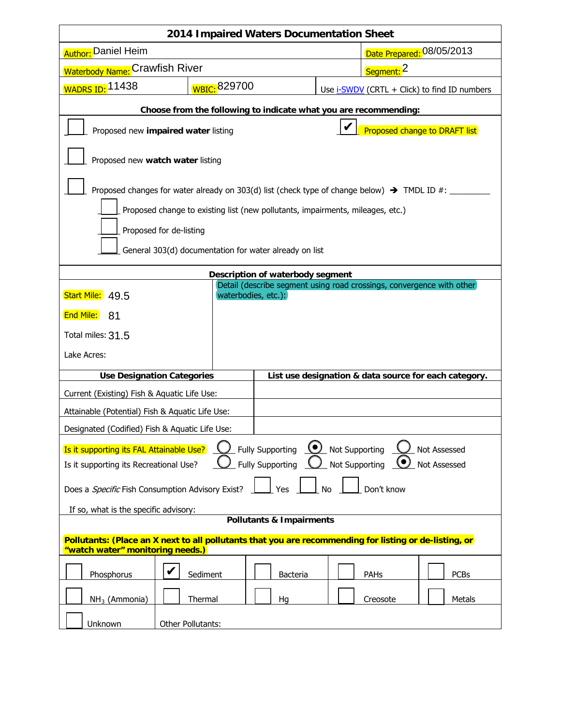| 2014 Impaired Waters Documentation Sheet                                                                                                   |                   |                 |                                              |                           |  |
|--------------------------------------------------------------------------------------------------------------------------------------------|-------------------|-----------------|----------------------------------------------|---------------------------|--|
| <b>Author:</b> Daniel Heim                                                                                                                 |                   |                 |                                              | Date Prepared: 08/05/2013 |  |
| Waterbody Name: Crawfish River                                                                                                             |                   |                 | Segment: 2                                   |                           |  |
| WADRS ID: 11438                                                                                                                            | WBIC: 829700      |                 | Use i-SWDV (CRTL + Click) to find ID numbers |                           |  |
| Choose from the following to indicate what you are recommending:                                                                           |                   |                 |                                              |                           |  |
| V<br>Proposed change to DRAFT list<br>Proposed new impaired water listing                                                                  |                   |                 |                                              |                           |  |
| Proposed new watch water listing                                                                                                           |                   |                 |                                              |                           |  |
|                                                                                                                                            |                   |                 |                                              |                           |  |
| Proposed changes for water already on 303(d) list (check type of change below) $\rightarrow$ TMDL ID #:                                    |                   |                 |                                              |                           |  |
| Proposed change to existing list (new pollutants, impairments, mileages, etc.)                                                             |                   |                 |                                              |                           |  |
| Proposed for de-listing                                                                                                                    |                   |                 |                                              |                           |  |
| General 303(d) documentation for water already on list                                                                                     |                   |                 |                                              |                           |  |
| Description of waterbody segment                                                                                                           |                   |                 |                                              |                           |  |
| Detail (describe segment using road crossings, convergence with other)<br>waterbodies, etc.):<br>Start Mile: 49.5                          |                   |                 |                                              |                           |  |
| End Mile:<br>-81                                                                                                                           |                   |                 |                                              |                           |  |
| Total miles: 31.5                                                                                                                          |                   |                 |                                              |                           |  |
| Lake Acres:                                                                                                                                |                   |                 |                                              |                           |  |
| <b>Use Designation Categories</b><br>List use designation & data source for each category.                                                 |                   |                 |                                              |                           |  |
| Current (Existing) Fish & Aquatic Life Use:                                                                                                |                   |                 |                                              |                           |  |
| Attainable (Potential) Fish & Aquatic Life Use:                                                                                            |                   |                 |                                              |                           |  |
| Designated (Codified) Fish & Aquatic Life Use:                                                                                             |                   |                 |                                              |                           |  |
| Fully Supporting <u>(e)</u> Not Supporting<br>Is it supporting its FAL Attainable Use?<br>Not Assessed                                     |                   |                 |                                              |                           |  |
| <b>Fully Supporting</b><br>Not Supporting<br>Is it supporting its Recreational Use?<br>Not Assessed                                        |                   |                 |                                              |                           |  |
| Does a <i>Specific</i> Fish Consumption Advisory Exist?<br>Don't know<br>Yes<br>No                                                         |                   |                 |                                              |                           |  |
| If so, what is the specific advisory:                                                                                                      |                   |                 |                                              |                           |  |
| <b>Pollutants &amp; Impairments</b>                                                                                                        |                   |                 |                                              |                           |  |
| Pollutants: (Place an X next to all pollutants that you are recommending for listing or de-listing, or<br>"watch water" monitoring needs.) |                   |                 |                                              |                           |  |
| Phosphorus                                                                                                                                 | Sediment          | <b>Bacteria</b> | PAHs                                         | <b>PCBs</b>               |  |
| $NH3$ (Ammonia)                                                                                                                            | Thermal           | Hg              | Creosote                                     | Metals                    |  |
| Unknown                                                                                                                                    | Other Pollutants: |                 |                                              |                           |  |